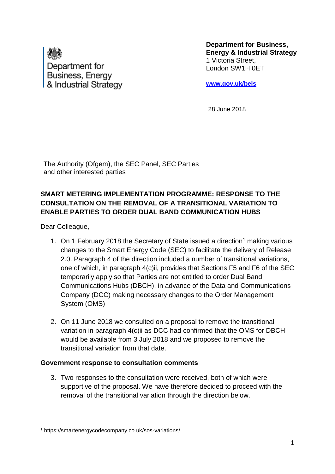

**Department for Business, Energy & Industrial Strategy** 1 Victoria Street, London SW1H 0ET

**[www.gov.uk/beis](http://www.gov.uk/beis)**

28 June 2018

The Authority (Ofgem), the SEC Panel, SEC Parties and other interested parties

## **SMART METERING IMPLEMENTATION PROGRAMME: RESPONSE TO THE CONSULTATION ON THE REMOVAL OF A TRANSITIONAL VARIATION TO ENABLE PARTIES TO ORDER DUAL BAND COMMUNICATION HUBS**

Dear Colleague,

- 1. On 1 February 2018 the Secretary of State issued a direction<sup>1</sup> making various changes to the Smart Energy Code (SEC) to facilitate the delivery of Release 2.0. Paragraph 4 of the direction included a number of transitional variations, one of which, in paragraph 4(c)ii, provides that Sections F5 and F6 of the SEC temporarily apply so that Parties are not entitled to order Dual Band Communications Hubs (DBCH), in advance of the Data and Communications Company (DCC) making necessary changes to the Order Management System (OMS)
- 2. On 11 June 2018 we consulted on a proposal to remove the transitional variation in paragraph 4(c)ii as DCC had confirmed that the OMS for DBCH would be available from 3 July 2018 and we proposed to remove the transitional variation from that date.

## **Government response to consultation comments**

3. Two responses to the consultation were received, both of which were supportive of the proposal. We have therefore decided to proceed with the removal of the transitional variation through the direction below.

<sup>1</sup> <sup>1</sup> https://smartenergycodecompany.co.uk/sos-variations/